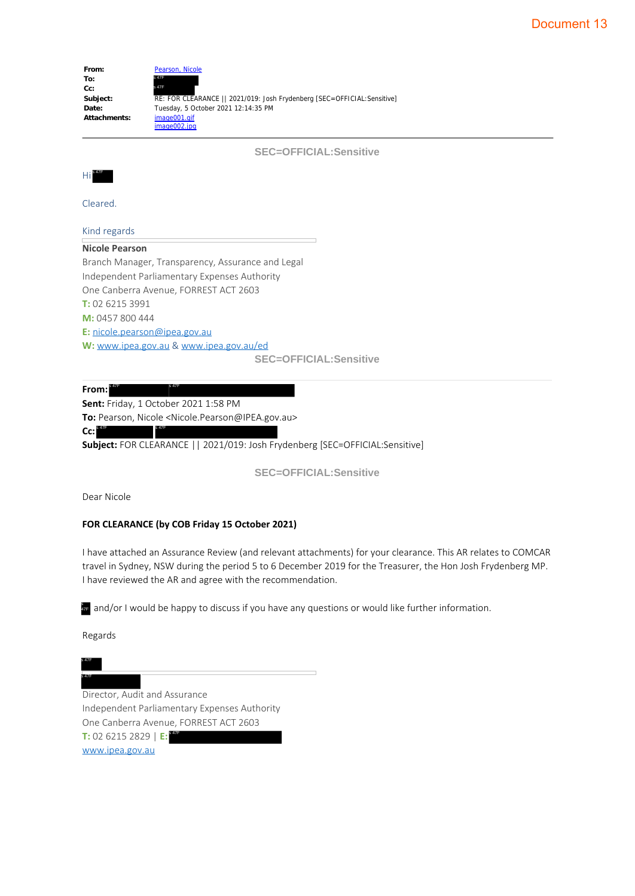| From:        | Pearson, Nicole                                                         |
|--------------|-------------------------------------------------------------------------|
| To:          | s 47F                                                                   |
| Cc:          | s 47F                                                                   |
| Subject:     | RE: FOR CLEARANCE   2021/019: Josh Frydenberg [SEC=OFFICIAL: Sensitive] |
| Date:        | Tuesday, 5 October 2021 12:14:35 PM                                     |
| Attachments: | image001.gif                                                            |
|              | image002.jpg                                                            |

**SEC=OFFICIAL:Sensitive**



Cleared.

#### Kind regards

**Nicole Pearson**

Branch Manager, Transparency, Assurance and Legal Independent Parliamentary Expenses Authority One Canberra Avenue, FORREST ACT 2603 **T:** 02 6215 3991 **M:** 0457 800 444 **E:** nicole.pearson@ipea.gov.au **W:** www.ipea.gov.au & www.ipea.gov.au/ed **SEC=OFFICIAL:Sensitive**

**From: Sent:** Friday, 1 October 2021 1:58 PM **To:** Pearson, Nicole <Nicole.Pearson@IPEA.gov.au> **Cc:**  $s$  47F s 47F

**Subject:** FOR CLEARANCE || 2021/019: Josh Frydenberg [SEC=OFFICIAL:Sensitive]

**SEC=OFFICIAL:Sensitive**

Dear Nicole

 $s$  47F s 47F

#### **FOR CLEARANCE (by COB Friday 15 October 2021)**

I have attached an Assurance Review (and relevant attachments) for your clearance. This AR relates to COMCAR travel in Sydney, NSW during the period 5 to 6 December 2019 for the Treasurer, the Hon Josh Frydenberg MP. I have reviewed the AR and agree with the recommendation.

 $\frac{2}{3T}$  and/or I would be happy to discuss if you have any questions or would like further information.

Regards

s 47F s 47F

Director, Audit and Assurance Independent Parliamentary Expenses Authority One Canberra Avenue, FORREST ACT 2603 **T:** 02 6215 2829 | **E:** www.ipea.gov.au SHE and/or I would be happy<br>Regards<br>SHE<br>Director, Audit and Assume<br>Independent Parliamen<br>One Canberra Avenue,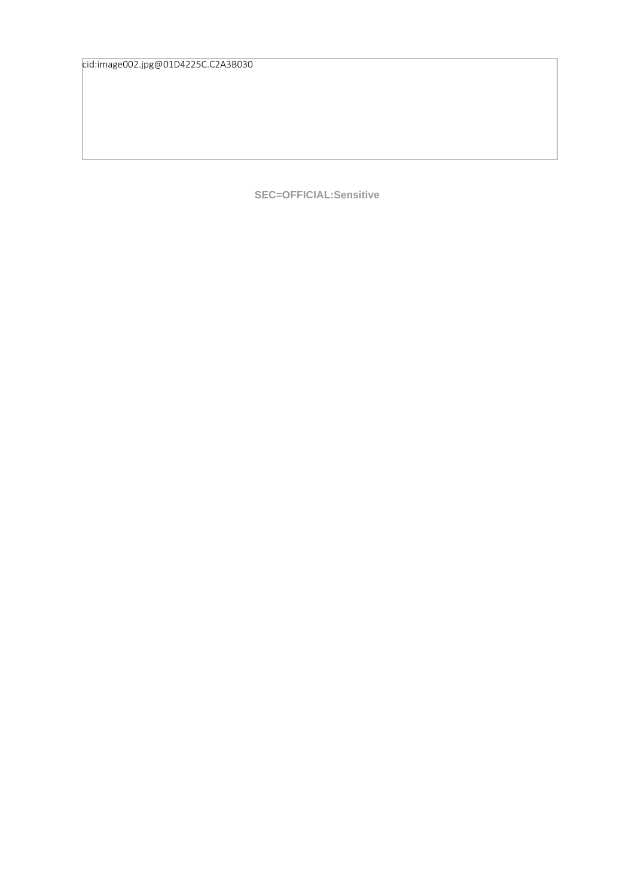cid:image002.jpg@01D4225C.C2A3B030

**SEC=OFFICIAL:Sensitive**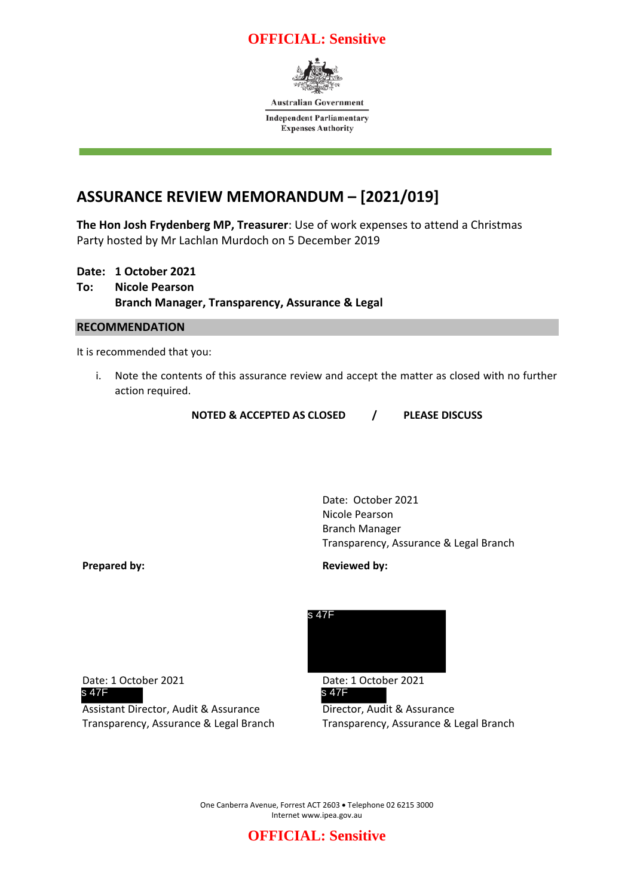### **OFFICIAL: Sensitive**



**Australian Government** 

**Independent Parliamentary Expenses Authority** 

# **ASSURANCE REVIEW MEMORANDUM – [2021/019]**

**The Hon Josh Frydenberg MP, Treasurer**: Use of work expenses to attend a Christmas Party hosted by Mr Lachlan Murdoch on 5 December 2019

### **Date: 1 October 2021 To: Nicole Pearson Branch Manager, Transparency, Assurance & Legal**

#### **RECOMMENDATION**

It is recommended that you:

i. Note the contents of this assurance review and accept the matter as closed with no further action required.

**NOTED & ACCEPTED AS CLOSED / PLEASE DISCUSS**

Date: October 2021 Nicole Pearson Branch Manager Transparency, Assurance & Legal Branch

**Prepared by: Reviewed by: Reviewed by:** 

Date: 1 October 2021 Date: 1 October 2021<br>
S 47F  $s$  47F s 47F

Assistant Director, Audit & Assurance Director, Audit & Assurance Transparency, Assurance & Legal Branch Transparency, Assurance & Legal Branch



One Canberra Avenue, Forrest ACT 2603 • Telephone 02 6215 3000 Internet www.ipea.gov.au

## **OFFICIAL: Sensitive**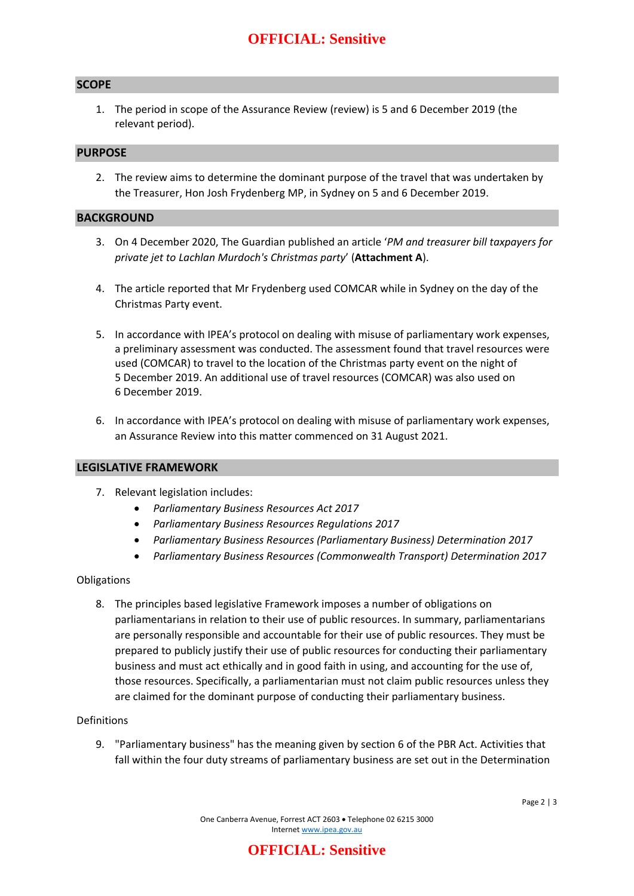#### **SCOPE**

1. The period in scope of the Assurance Review (review) is 5 and 6 December 2019 (the relevant period).

#### **PURPOSE**

2. The review aims to determine the dominant purpose of the travel that was undertaken by the Treasurer, Hon Josh Frydenberg MP, in Sydney on 5 and 6 December 2019.

#### **BACKGROUND**

- 3. On 4 December 2020, The Guardian published an article '*PM and treasurer bill taxpayers for private jet to Lachlan Murdoch's Christmas party*' (**Attachment A**).
- 4. The article reported that Mr Frydenberg used COMCAR while in Sydney on the day of the Christmas Party event.
- 5. In accordance with IPEA's protocol on dealing with misuse of parliamentary work expenses, a preliminary assessment was conducted. The assessment found that travel resources were used (COMCAR) to travel to the location of the Christmas party event on the night of 5 December 2019. An additional use of travel resources (COMCAR) was also used on 6 December 2019.
- 6. In accordance with IPEA's protocol on dealing with misuse of parliamentary work expenses, an Assurance Review into this matter commenced on 31 August 2021.

#### **LEGISLATIVE FRAMEWORK**

- 7. Relevant legislation includes:
	- *Parliamentary Business Resources Act 2017*
	- *Parliamentary Business Resources Regulations 2017*
	- *Parliamentary Business Resources (Parliamentary Business) Determination 2017*
	- *Parliamentary Business Resources (Commonwealth Transport) Determination 2017*

#### Obligations

8. The principles based legislative Framework imposes a number of obligations on parliamentarians in relation to their use of public resources. In summary, parliamentarians are personally responsible and accountable for their use of public resources. They must be prepared to publicly justify their use of public resources for conducting their parliamentary business and must act ethically and in good faith in using, and accounting for the use of, those resources. Specifically, a parliamentarian must not claim public resources unless they are claimed for the dominant purpose of conducting their parliamentary business.

#### Definitions

9. "Parliamentary business" has the meaning given by section 6 of the PBR Act. Activities that fall within the four duty streams of parliamentary business are set out in the Determination

### **OFFICIAL: Sensitive**